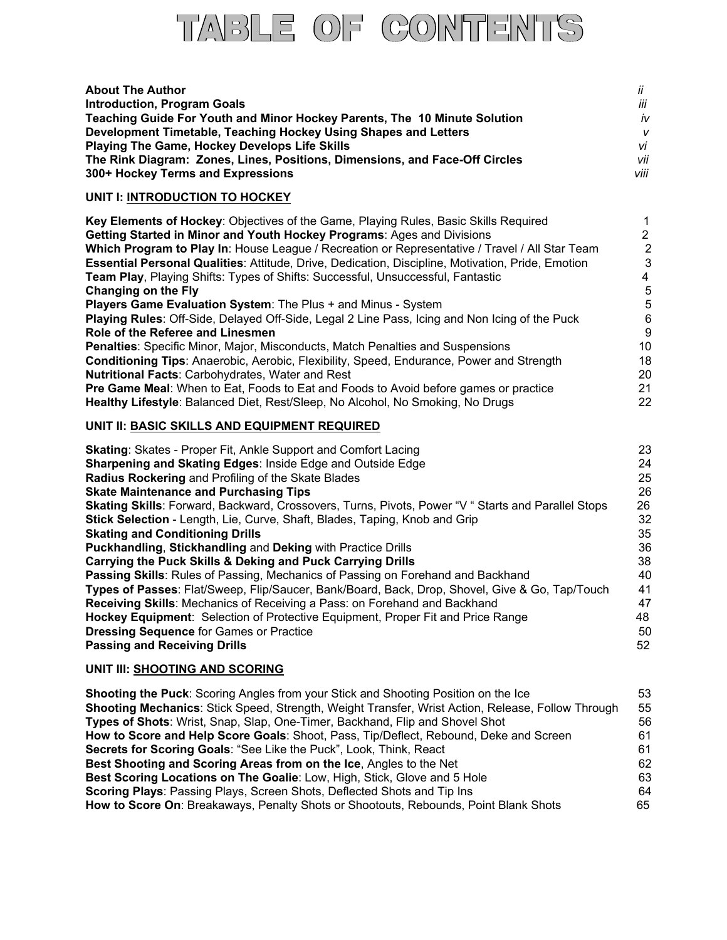

| <b>About The Author</b>                                                     | İΪ   |
|-----------------------------------------------------------------------------|------|
| <b>Introduction, Program Goals</b>                                          | iii  |
| Teaching Guide For Youth and Minor Hockey Parents, The 10 Minute Solution   | iv   |
| Development Timetable, Teaching Hockey Using Shapes and Letters             | v    |
| <b>Playing The Game, Hockey Develops Life Skills</b>                        | vi   |
| The Rink Diagram: Zones, Lines, Positions, Dimensions, and Face-Off Circles | vii  |
| 300+ Hockey Terms and Expressions                                           | viii |

### **UNIT I: INTRODUCTION TO HOCKEY**

| Key Elements of Hockey: Objectives of the Game, Playing Rules, Basic Skills Required              |                |
|---------------------------------------------------------------------------------------------------|----------------|
| Getting Started in Minor and Youth Hockey Programs: Ages and Divisions                            | 2              |
| Which Program to Play In: House League / Recreation or Representative / Travel / All Star Team    | $\overline{2}$ |
| Essential Personal Qualities: Attitude, Drive, Dedication, Discipline, Motivation, Pride, Emotion | 3              |
| Team Play, Playing Shifts: Types of Shifts: Successful, Unsuccessful, Fantastic                   | 4              |
| Changing on the Fly                                                                               | 5              |
| <b>Players Game Evaluation System: The Plus + and Minus - System</b>                              | 5              |
| Playing Rules: Off-Side, Delayed Off-Side, Legal 2 Line Pass, Icing and Non Icing of the Puck     | 6              |
| Role of the Referee and Linesmen                                                                  | -9             |
| <b>Penalties: Specific Minor, Major, Misconducts, Match Penalties and Suspensions</b>             | 10             |
| <b>Conditioning Tips: Anaerobic, Aerobic, Flexibility, Speed, Endurance, Power and Strength</b>   | 18             |
| <b>Nutritional Facts: Carbohydrates, Water and Rest</b>                                           | 20             |
| <b>Pre Game Meal:</b> When to Eat, Foods to Eat and Foods to Avoid before games or practice       | 21             |
| Healthy Lifestyle: Balanced Diet, Rest/Sleep, No Alcohol, No Smoking, No Drugs                    | 22             |
|                                                                                                   |                |

# **UNIT II: BASIC SKILLS AND EQUIPMENT REQUIRED**

| <b>Skating: Skates - Proper Fit, Ankle Support and Comfort Lacing</b>                              | 23 |
|----------------------------------------------------------------------------------------------------|----|
| Sharpening and Skating Edges: Inside Edge and Outside Edge                                         | 24 |
| Radius Rockering and Profiling of the Skate Blades                                                 | 25 |
| <b>Skate Maintenance and Purchasing Tips</b>                                                       | 26 |
| Skating Skills: Forward, Backward, Crossovers, Turns, Pivots, Power "V " Starts and Parallel Stops | 26 |
| Stick Selection - Length, Lie, Curve, Shaft, Blades, Taping, Knob and Grip                         | 32 |
| <b>Skating and Conditioning Drills</b>                                                             | 35 |
| <b>Puckhandling, Stickhandling and Deking with Practice Drills</b>                                 | 36 |
| Carrying the Puck Skills & Deking and Puck Carrying Drills                                         | 38 |
| Passing Skills: Rules of Passing, Mechanics of Passing on Forehand and Backhand                    | 40 |
| Types of Passes: Flat/Sweep, Flip/Saucer, Bank/Board, Back, Drop, Shovel, Give & Go, Tap/Touch     | 41 |
| <b>Receiving Skills: Mechanics of Receiving a Pass: on Forehand and Backhand</b>                   | 47 |
| Hockey Equipment: Selection of Protective Equipment, Proper Fit and Price Range                    | 48 |
| <b>Dressing Sequence for Games or Practice</b>                                                     | 50 |
| <b>Passing and Receiving Drills</b>                                                                | 52 |
|                                                                                                    |    |

### **UNIT III: SHOOTING AND SCORING**

| <b>Shooting the Puck:</b> Scoring Angles from your Stick and Shooting Position on the Ice                | 53 |
|----------------------------------------------------------------------------------------------------------|----|
| <b>Shooting Mechanics: Stick Speed, Strength, Weight Transfer, Wrist Action, Release, Follow Through</b> | 55 |
| Types of Shots: Wrist, Snap, Slap, One-Timer, Backhand, Flip and Shovel Shot                             | 56 |
| How to Score and Help Score Goals: Shoot, Pass, Tip/Deflect, Rebound, Deke and Screen                    | 61 |
| Secrets for Scoring Goals: "See Like the Puck", Look, Think, React                                       | 61 |
| Best Shooting and Scoring Areas from on the Ice, Angles to the Net                                       | 62 |
| Best Scoring Locations on The Goalie: Low, High, Stick, Glove and 5 Hole                                 | 63 |
| <b>Scoring Plays: Passing Plays, Screen Shots, Deflected Shots and Tip Ins</b>                           | 64 |
| How to Score On: Breakaways, Penalty Shots or Shootouts, Rebounds, Point Blank Shots                     | 65 |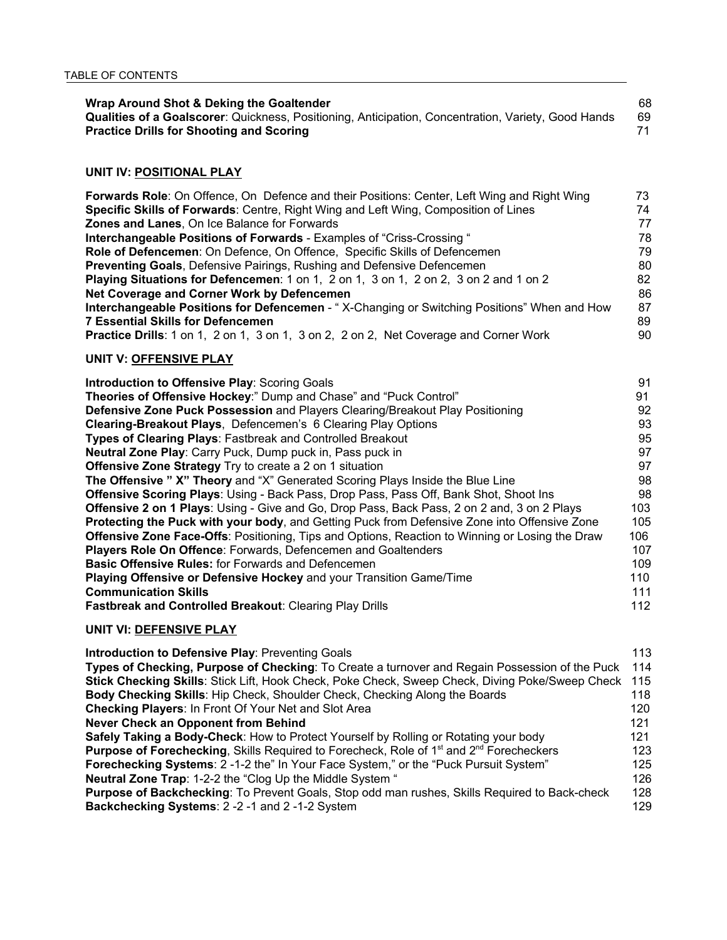| Wrap Around Shot & Deking the Goaltender                                                            | 68 |
|-----------------------------------------------------------------------------------------------------|----|
| Qualities of a Goalscorer: Quickness, Positioning, Anticipation, Concentration, Variety, Good Hands | 69 |
| <b>Practice Drills for Shooting and Scoring</b>                                                     |    |

# **UNIT IV: POSITIONAL PLAY**

| Forwards Role: On Offence, On Defence and their Positions: Center, Left Wing and Right Wing | 73. |
|---------------------------------------------------------------------------------------------|-----|
| Specific Skills of Forwards: Centre, Right Wing and Left Wing, Composition of Lines         | 74  |
| <b>Zones and Lanes, On Ice Balance for Forwards</b>                                         | 77  |
| Interchangeable Positions of Forwards - Examples of "Criss-Crossing "                       | 78  |
| Role of Defencemen: On Defence, On Offence, Specific Skills of Defencemen                   | 79  |
| <b>Preventing Goals, Defensive Pairings, Rushing and Defensive Defencemen</b>               | 80  |
| Playing Situations for Defencemen: 1 on 1, 2 on 1, 3 on 1, 2 on 2, 3 on 2 and 1 on 2        | 82  |
| Net Coverage and Corner Work by Defencemen                                                  | 86  |
| Interchangeable Positions for Defencemen - "X-Changing or Switching Positions" When and How | 87  |
| <b>7 Essential Skills for Defencemen</b>                                                    | 89  |
| Practice Drills: 1 on 1, 2 on 1, 3 on 1, 3 on 2, 2 on 2, Net Coverage and Corner Work       | 90  |

#### **UNIT V: OFFENSIVE PLAY**

| Introduction to Offensive Play: Scoring Goals                                                          | 91  |
|--------------------------------------------------------------------------------------------------------|-----|
| Theories of Offensive Hockey:" Dump and Chase" and "Puck Control"                                      | 91  |
| Defensive Zone Puck Possession and Players Clearing/Breakout Play Positioning                          | 92  |
| <b>Clearing-Breakout Plays, Defencemen's 6 Clearing Play Options</b>                                   | 93  |
| Types of Clearing Plays: Fastbreak and Controlled Breakout                                             | 95  |
| Neutral Zone Play: Carry Puck, Dump puck in, Pass puck in                                              | 97  |
| Offensive Zone Strategy Try to create a 2 on 1 situation                                               | 97  |
| The Offensive " X" Theory and "X" Generated Scoring Plays Inside the Blue Line                         | 98  |
| Offensive Scoring Plays: Using - Back Pass, Drop Pass, Pass Off, Bank Shot, Shoot Ins                  | 98  |
| <b>Offensive 2 on 1 Plays: Using - Give and Go, Drop Pass, Back Pass, 2 on 2 and, 3 on 2 Plays</b>     | 103 |
| <b>Protecting the Puck with your body, and Getting Puck from Defensive Zone into Offensive Zone</b>    | 105 |
| <b>Offensive Zone Face-Offs: Positioning, Tips and Options, Reaction to Winning or Losing the Draw</b> | 106 |
| Players Role On Offence: Forwards, Defencemen and Goaltenders                                          | 107 |
| <b>Basic Offensive Rules:</b> for Forwards and Defencemen                                              | 109 |
| Playing Offensive or Defensive Hockey and your Transition Game/Time                                    | 110 |
| <b>Communication Skills</b>                                                                            | 111 |
| <b>Fastbreak and Controlled Breakout: Clearing Play Drills</b>                                         | 112 |
|                                                                                                        |     |

# **UNIT VI: DEFENSIVE PLAY**

| <b>Introduction to Defensive Play: Preventing Goals</b>                                                   | 113 |
|-----------------------------------------------------------------------------------------------------------|-----|
| Types of Checking, Purpose of Checking: To Create a turnover and Regain Possession of the Puck            | 114 |
| Stick Checking Skills: Stick Lift, Hook Check, Poke Check, Sweep Check, Diving Poke/Sweep Check 115       |     |
| Body Checking Skills: Hip Check, Shoulder Check, Checking Along the Boards                                | 118 |
| Checking Players: In Front Of Your Net and Slot Area                                                      | 120 |
| <b>Never Check an Opponent from Behind</b>                                                                | 121 |
| Safely Taking a Body-Check: How to Protect Yourself by Rolling or Rotating your body                      | 121 |
| <b>Purpose of Forechecking, Skills Required to Forecheck, Role of 1st and 2<sup>nd</sup> Forecheckers</b> | 123 |
| Forechecking Systems: 2-1-2 the" In Your Face System," or the "Puck Pursuit System"                       | 125 |
| <b>Neutral Zone Trap: 1-2-2 the "Clog Up the Middle System "</b>                                          | 126 |
| <b>Purpose of Backchecking:</b> To Prevent Goals, Stop odd man rushes, Skills Required to Back-check      | 128 |
| Backchecking Systems: 2 -2 -1 and 2 -1-2 System                                                           | 129 |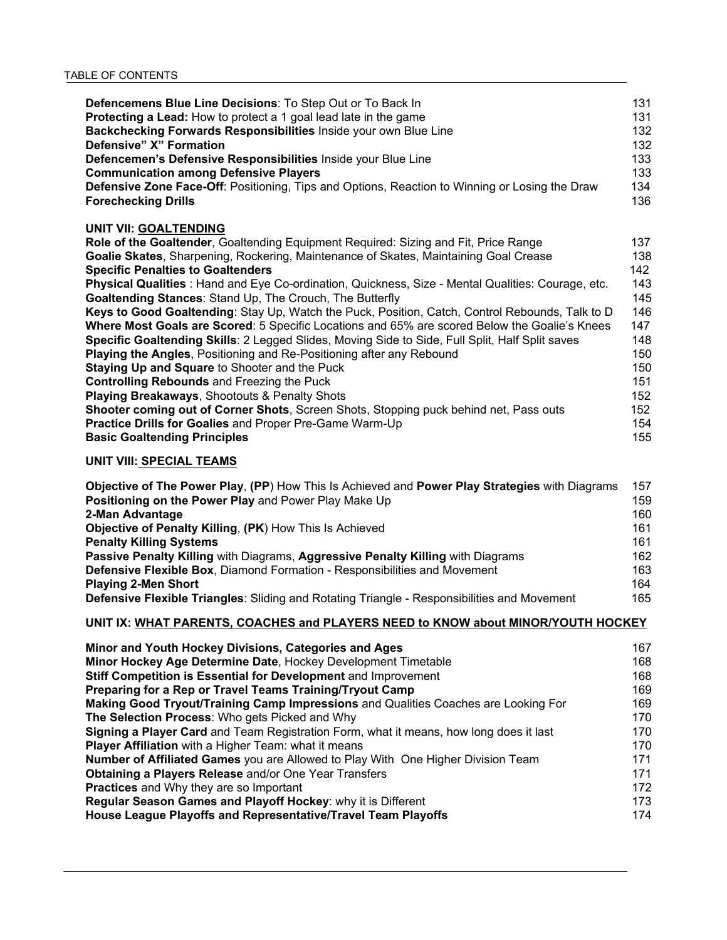| Defencemens Blue Line Decisions: To Step Out or To Back In                                                                                                                                                                                                                                                                                                                                                                                                                                                                                                                                                                                                                                                                                                                                                                                                                                                                                                                                                                                                      | 131                                                                                     |
|-----------------------------------------------------------------------------------------------------------------------------------------------------------------------------------------------------------------------------------------------------------------------------------------------------------------------------------------------------------------------------------------------------------------------------------------------------------------------------------------------------------------------------------------------------------------------------------------------------------------------------------------------------------------------------------------------------------------------------------------------------------------------------------------------------------------------------------------------------------------------------------------------------------------------------------------------------------------------------------------------------------------------------------------------------------------|-----------------------------------------------------------------------------------------|
| Protecting a Lead: How to protect a 1 goal lead late in the game                                                                                                                                                                                                                                                                                                                                                                                                                                                                                                                                                                                                                                                                                                                                                                                                                                                                                                                                                                                                | 131                                                                                     |
| Backchecking Forwards Responsibilities Inside your own Blue Line                                                                                                                                                                                                                                                                                                                                                                                                                                                                                                                                                                                                                                                                                                                                                                                                                                                                                                                                                                                                | 132                                                                                     |
| Defensive" X" Formation                                                                                                                                                                                                                                                                                                                                                                                                                                                                                                                                                                                                                                                                                                                                                                                                                                                                                                                                                                                                                                         | 132                                                                                     |
| Defencemen's Defensive Responsibilities Inside your Blue Line                                                                                                                                                                                                                                                                                                                                                                                                                                                                                                                                                                                                                                                                                                                                                                                                                                                                                                                                                                                                   | 133                                                                                     |
| <b>Communication among Defensive Players</b>                                                                                                                                                                                                                                                                                                                                                                                                                                                                                                                                                                                                                                                                                                                                                                                                                                                                                                                                                                                                                    | 133                                                                                     |
| <b>Defensive Zone Face-Off: Positioning, Tips and Options, Reaction to Winning or Losing the Draw</b>                                                                                                                                                                                                                                                                                                                                                                                                                                                                                                                                                                                                                                                                                                                                                                                                                                                                                                                                                           | 134                                                                                     |
| <b>Forechecking Drills</b>                                                                                                                                                                                                                                                                                                                                                                                                                                                                                                                                                                                                                                                                                                                                                                                                                                                                                                                                                                                                                                      | 136                                                                                     |
| UNIT VII: GOALTENDING<br>Role of the Goaltender, Goaltending Equipment Required: Sizing and Fit, Price Range<br>Goalie Skates, Sharpening, Rockering, Maintenance of Skates, Maintaining Goal Crease<br><b>Specific Penalties to Goaltenders</b><br>Physical Qualities : Hand and Eye Co-ordination, Quickness, Size - Mental Qualities: Courage, etc.<br><b>Goaltending Stances: Stand Up, The Crouch, The Butterfly</b><br>Keys to Good Goaltending: Stay Up, Watch the Puck, Position, Catch, Control Rebounds, Talk to D<br>Where Most Goals are Scored: 5 Specific Locations and 65% are scored Below the Goalie's Knees<br>Specific Goaltending Skills: 2 Legged Slides, Moving Side to Side, Full Split, Half Split saves<br><b>Playing the Angles, Positioning and Re-Positioning after any Rebound</b><br>Staying Up and Square to Shooter and the Puck<br><b>Controlling Rebounds and Freezing the Puck</b><br>Playing Breakaways, Shootouts & Penalty Shots<br>Shooter coming out of Corner Shots, Screen Shots, Stopping puck behind net, Pass outs | 137<br>138<br>142<br>143<br>145<br>146<br>147<br>148<br>150<br>150<br>151<br>152<br>152 |
| <b>Practice Drills for Goalies and Proper Pre-Game Warm-Up</b>                                                                                                                                                                                                                                                                                                                                                                                                                                                                                                                                                                                                                                                                                                                                                                                                                                                                                                                                                                                                  | 154                                                                                     |
| <b>Basic Goaltending Principles</b>                                                                                                                                                                                                                                                                                                                                                                                                                                                                                                                                                                                                                                                                                                                                                                                                                                                                                                                                                                                                                             | 155                                                                                     |

#### **UNIT VIII: SPECIAL TEAMS**

| Objective of The Power Play, (PP) How This Is Achieved and Power Play Strategies with Diagrams | 157 |
|------------------------------------------------------------------------------------------------|-----|
| Positioning on the Power Play and Power Play Make Up                                           | 159 |
| 2-Man Advantage                                                                                | 160 |
| Objective of Penalty Killing, (PK) How This Is Achieved                                        | 161 |
| <b>Penalty Killing Systems</b>                                                                 | 161 |
| Passive Penalty Killing with Diagrams, Aggressive Penalty Killing with Diagrams                | 162 |
| <b>Defensive Flexible Box, Diamond Formation - Responsibilities and Movement</b>               | 163 |
| <b>Playing 2-Men Short</b>                                                                     | 164 |
| Defensive Flexible Triangles: Sliding and Rotating Triangle - Responsibilities and Movement    | 165 |

### **UNIT IX: WHAT PARENTS, COACHES and PLAYERS NEED to KNOW about MINOR/YOUTH HOCKEY**

| Minor and Youth Hockey Divisions, Categories and Ages                                  | 167 |
|----------------------------------------------------------------------------------------|-----|
| Minor Hockey Age Determine Date, Hockey Development Timetable                          | 168 |
| Stiff Competition is Essential for Development and Improvement                         | 168 |
| Preparing for a Rep or Travel Teams Training/Tryout Camp                               | 169 |
| Making Good Tryout/Training Camp Impressions and Qualities Coaches are Looking For     | 169 |
| The Selection Process: Who gets Picked and Why                                         | 170 |
| Signing a Player Card and Team Registration Form, what it means, how long does it last | 170 |
| <b>Player Affiliation</b> with a Higher Team: what it means                            | 170 |
| Number of Affiliated Games you are Allowed to Play With One Higher Division Team       | 171 |
| <b>Obtaining a Players Release and/or One Year Transfers</b>                           | 171 |
| <b>Practices</b> and Why they are so Important                                         | 172 |
| Regular Season Games and Playoff Hockey: why it is Different                           | 173 |
| House League Playoffs and Representative/Travel Team Playoffs                          | 174 |